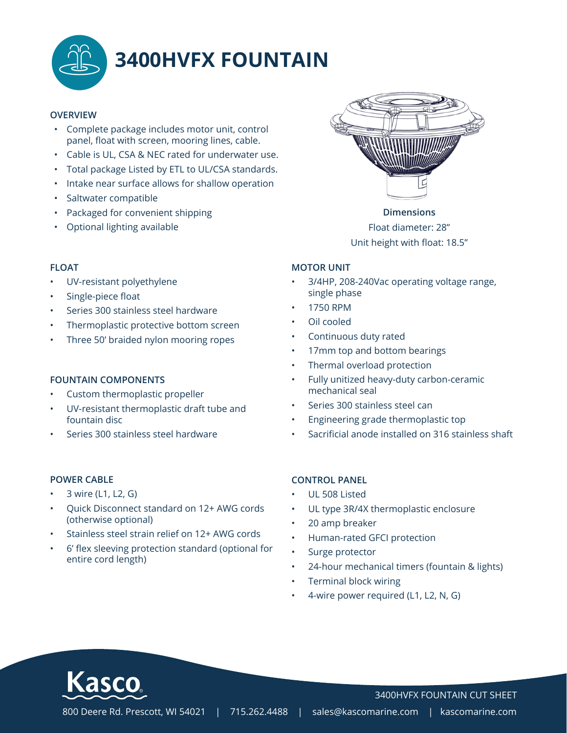

# **3400HVFX FOUNTAIN**

#### **OVERVIEW**

- Complete package includes motor unit, control panel, float with screen, mooring lines, cable.
- Cable is UL, CSA & NEC rated for underwater use.
- Total package Listed by ETL to UL/CSA standards.
- Intake near surface allows for shallow operation
- Saltwater compatible
- Packaged for convenient shipping
- Optional lighting available

#### **FLOAT**

- UV-resistant polyethylene
- Single-piece float
- Series 300 stainless steel hardware
- Thermoplastic protective bottom screen
- Three 50' braided nylon mooring ropes

#### **FOUNTAIN COMPONENTS**

- Custom thermoplastic propeller
- UV-resistant thermoplastic draft tube and fountain disc
- Series 300 stainless steel hardware

#### **POWER CABLE**

- 3 wire (L1, L2, G)
- Quick Disconnect standard on 12+ AWG cords (otherwise optional)
- Stainless steel strain relief on 12+ AWG cords
- 6' flex sleeving protection standard (optional for entire cord length)



**Dimensions** Float diameter: 28" Unit height with float: 18.5"

#### **MOTOR UNIT**

- 3/4HP, 208-240Vac operating voltage range, single phase
- 1750 RPM
- Oil cooled
- Continuous duty rated
- 17mm top and bottom bearings
- Thermal overload protection
- Fully unitized heavy-duty carbon-ceramic mechanical seal
- Series 300 stainless steel can
- Engineering grade thermoplastic top
- Sacrificial anode installed on 316 stainless shaft

#### **CONTROL PANEL**

- UL 508 Listed
- UL type 3R/4X thermoplastic enclosure
- 20 amp breaker
- Human-rated GFCI protection
- Surge protector
- 24-hour mechanical timers (fountain & lights)
- Terminal block wiring
- 4-wire power required (L1, L2, N, G)



3400HVFX FOUNTAIN CUT SHEET